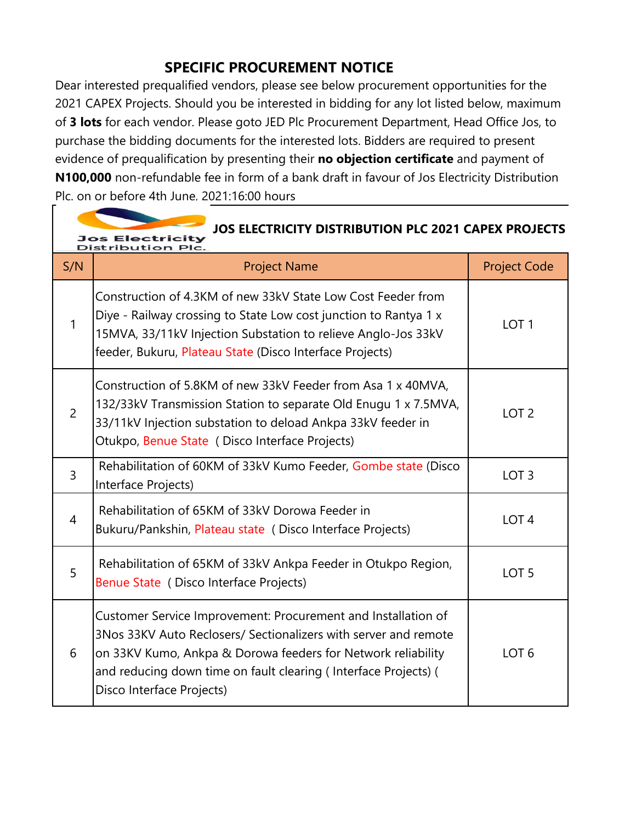## **SPECIFIC PROCUREMENT NOTICE**

Dear interested prequalified vendors, please see below procurement opportunities for the 2021 CAPEX Projects. Should you be interested in bidding for any lot listed below, maximum of **3 lots** for each vendor. Please goto JED Plc Procurement Department, Head Office Jos, to purchase the bidding documents for the interested lots. Bidders are required to present evidence of prequalification by presenting their **no objection certificate** and payment of **N100,000** non-refundable fee in form of a bank draft in favour of Jos Electricity Distribution Plc. on or before 4th June, 2021:16:00 hours

| JOS ELECTRICITY DISTRIBUTION PLC 2021 CAPEX PROJECTS<br>Jos Electricity<br>Distribution Plc. |                                                                                                                                                                                                                                                                                                  |                     |
|----------------------------------------------------------------------------------------------|--------------------------------------------------------------------------------------------------------------------------------------------------------------------------------------------------------------------------------------------------------------------------------------------------|---------------------|
| S/N                                                                                          | <b>Project Name</b>                                                                                                                                                                                                                                                                              | <b>Project Code</b> |
| $\mathbf{1}$                                                                                 | Construction of 4.3KM of new 33kV State Low Cost Feeder from<br>Diye - Railway crossing to State Low cost junction to Rantya 1 x<br>15MVA, 33/11kV Injection Substation to relieve Anglo-Jos 33kV<br>feeder, Bukuru, Plateau State (Disco Interface Projects)                                    | LOT <sub>1</sub>    |
| $\overline{2}$                                                                               | Construction of 5.8KM of new 33kV Feeder from Asa 1 x 40MVA,<br>132/33kV Transmission Station to separate Old Enugu 1 x 7.5MVA,<br>33/11kV Injection substation to deload Ankpa 33kV feeder in<br>Otukpo, Benue State (Disco Interface Projects)                                                 | LOT <sub>2</sub>    |
| 3                                                                                            | Rehabilitation of 60KM of 33kV Kumo Feeder, Gombe state (Disco<br>Interface Projects)                                                                                                                                                                                                            | LOT <sub>3</sub>    |
| 4                                                                                            | Rehabilitation of 65KM of 33kV Dorowa Feeder in<br>Bukuru/Pankshin, Plateau state (Disco Interface Projects)                                                                                                                                                                                     | LOT <sub>4</sub>    |
| 5                                                                                            | Rehabilitation of 65KM of 33kV Ankpa Feeder in Otukpo Region,<br>Benue State (Disco Interface Projects)                                                                                                                                                                                          | LOT <sub>5</sub>    |
| 6                                                                                            | Customer Service Improvement: Procurement and Installation of<br>3Nos 33KV Auto Reclosers/ Sectionalizers with server and remote<br>on 33KV Kumo, Ankpa & Dorowa feeders for Network reliability<br>and reducing down time on fault clearing (Interface Projects) (<br>Disco Interface Projects) | LOT <sub>6</sub>    |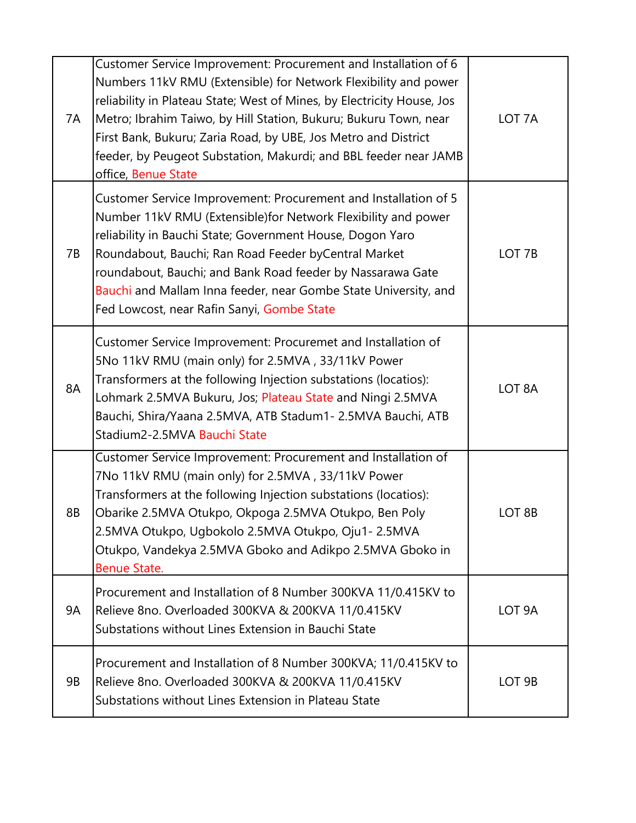| 7A | Customer Service Improvement: Procurement and Installation of 6<br>Numbers 11kV RMU (Extensible) for Network Flexibility and power<br>reliability in Plateau State; West of Mines, by Electricity House, Jos<br>Metro; Ibrahim Taiwo, by Hill Station, Bukuru; Bukuru Town, near<br>First Bank, Bukuru; Zaria Road, by UBE, Jos Metro and District<br>feeder, by Peugeot Substation, Makurdi; and BBL feeder near JAMB<br>office, Benue State | LOT <sub>7A</sub>  |
|----|-----------------------------------------------------------------------------------------------------------------------------------------------------------------------------------------------------------------------------------------------------------------------------------------------------------------------------------------------------------------------------------------------------------------------------------------------|--------------------|
| 7B | Customer Service Improvement: Procurement and Installation of 5<br>Number 11kV RMU (Extensible) for Network Flexibility and power<br>reliability in Bauchi State; Government House, Dogon Yaro<br>Roundabout, Bauchi; Ran Road Feeder byCentral Market<br>roundabout, Bauchi; and Bank Road feeder by Nassarawa Gate<br>Bauchi and Mallam Inna feeder, near Gombe State University, and<br>Fed Lowcost, near Rafin Sanyi, Gombe State         | LOT <sub>7B</sub>  |
| 8A | Customer Service Improvement: Procuremet and Installation of<br>5No 11kV RMU (main only) for 2.5MVA, 33/11kV Power<br>Transformers at the following Injection substations (locatios):<br>Lohmark 2.5MVA Bukuru, Jos; Plateau State and Ningi 2.5MVA<br>Bauchi, Shira/Yaana 2.5MVA, ATB Stadum1- 2.5MVA Bauchi, ATB<br>Stadium2-2.5MVA Bauchi State                                                                                            | LOT <sub>8</sub> A |
| 8Β | Customer Service Improvement: Procurement and Installation of<br>7No 11kV RMU (main only) for 2.5MVA, 33/11kV Power<br>Transformers at the following Injection substations (locatios):<br>Obarike 2.5MVA Otukpo, Okpoga 2.5MVA Otukpo, Ben Poly<br>2.5MVA Otukpo, Ugbokolo 2.5MVA Otukpo, Oju1-2.5MVA<br>Otukpo, Vandekya 2.5MVA Gboko and Adikpo 2.5MVA Gboko in<br><b>Benue State.</b>                                                      | LOT <sub>8B</sub>  |
| 9A | Procurement and Installation of 8 Number 300KVA 11/0.415KV to<br>Relieve 8no. Overloaded 300KVA & 200KVA 11/0.415KV<br>Substations without Lines Extension in Bauchi State                                                                                                                                                                                                                                                                    | LOT <sub>9A</sub>  |
| 9B | Procurement and Installation of 8 Number 300KVA; 11/0.415KV to<br>Relieve 8no. Overloaded 300KVA & 200KVA 11/0.415KV<br>Substations without Lines Extension in Plateau State                                                                                                                                                                                                                                                                  | LOT <sub>9B</sub>  |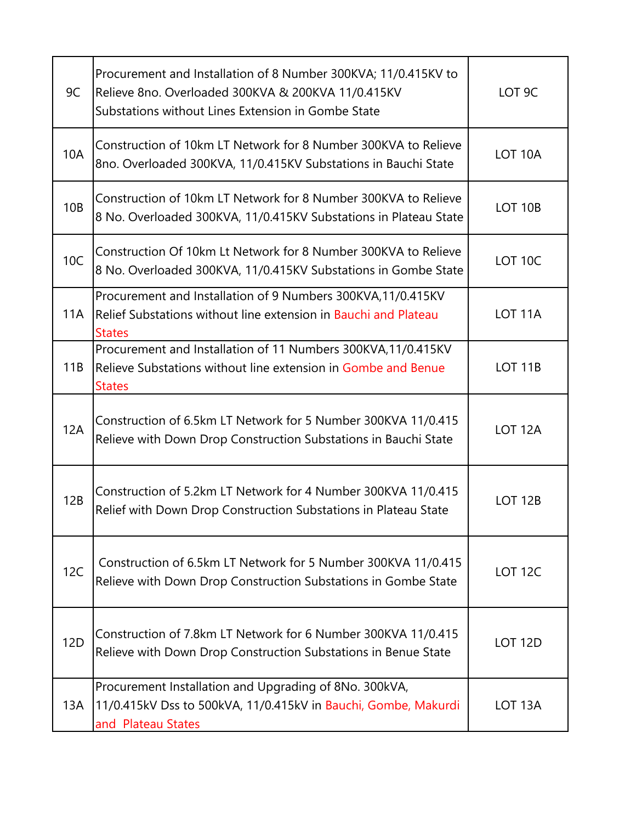| 9C              | Procurement and Installation of 8 Number 300KVA; 11/0.415KV to<br>Relieve 8no. Overloaded 300KVA & 200KVA 11/0.415KV<br>Substations without Lines Extension in Gombe State | LOT <sub>9C</sub>   |
|-----------------|----------------------------------------------------------------------------------------------------------------------------------------------------------------------------|---------------------|
| <b>10A</b>      | Construction of 10km LT Network for 8 Number 300KVA to Relieve<br>8no. Overloaded 300KVA, 11/0.415KV Substations in Bauchi State                                           | LOT <sub>10</sub> A |
| 10 <sub>B</sub> | Construction of 10km LT Network for 8 Number 300KVA to Relieve<br>8 No. Overloaded 300KVA, 11/0.415KV Substations in Plateau State                                         | <b>LOT 10B</b>      |
| 10C             | Construction Of 10km Lt Network for 8 Number 300KVA to Relieve<br>8 No. Overloaded 300KVA, 11/0.415KV Substations in Gombe State                                           | LOT 10C             |
| 11A             | Procurement and Installation of 9 Numbers 300KVA, 11/0.415KV<br>Relief Substations without line extension in Bauchi and Plateau<br><b>States</b>                           | LOT <sub>11</sub> A |
| 11B             | Procurement and Installation of 11 Numbers 300KVA, 11/0.415KV<br>Relieve Substations without line extension in Gombe and Benue<br><b>States</b>                            | <b>LOT 11B</b>      |
| 12A             | Construction of 6.5km LT Network for 5 Number 300KVA 11/0.415<br>Relieve with Down Drop Construction Substations in Bauchi State                                           | LOT <sub>12A</sub>  |
| 12B             | Construction of 5.2km LT Network for 4 Number 300KVA 11/0.415<br>Relief with Down Drop Construction Substations in Plateau State                                           | LOT <sub>12B</sub>  |
| 12C             | Construction of 6.5km LT Network for 5 Number 300KVA 11/0.415<br>Relieve with Down Drop Construction Substations in Gombe State                                            | <b>LOT 12C</b>      |
| 12 <sub>D</sub> | Construction of 7.8km LT Network for 6 Number 300KVA 11/0.415<br>Relieve with Down Drop Construction Substations in Benue State                                            | LOT <sub>12D</sub>  |
| 13A             | Procurement Installation and Upgrading of 8No. 300kVA,<br>11/0.415kV Dss to 500kVA, 11/0.415kV in Bauchi, Gombe, Makurdi<br>and Plateau States                             | LOT <sub>13</sub> A |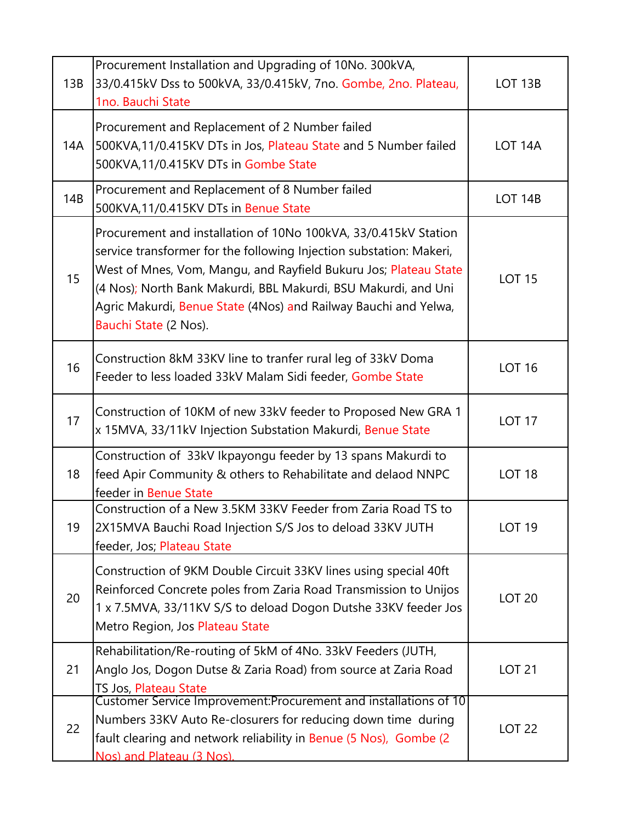| 13B | Procurement Installation and Upgrading of 10No. 300kVA,<br>33/0.415kV Dss to 500kVA, 33/0.415kV, 7no. Gombe, 2no. Plateau,<br>1no. Bauchi State                                                                                                                                                                                                                          | LOT <sub>13B</sub> |
|-----|--------------------------------------------------------------------------------------------------------------------------------------------------------------------------------------------------------------------------------------------------------------------------------------------------------------------------------------------------------------------------|--------------------|
| 14A | Procurement and Replacement of 2 Number failed<br>500KVA, 11/0.415KV DTs in Jos, Plateau State and 5 Number failed<br>500KVA,11/0.415KV DTs in Gombe State                                                                                                                                                                                                               | LOT <sub>14A</sub> |
| 14B | Procurement and Replacement of 8 Number failed<br>500KVA, 11/0.415KV DTs in Benue State                                                                                                                                                                                                                                                                                  | LOT <sub>14B</sub> |
| 15  | Procurement and installation of 10No 100kVA, 33/0.415kV Station<br>service transformer for the following Injection substation: Makeri,<br>West of Mnes, Vom, Mangu, and Rayfield Bukuru Jos; Plateau State<br>(4 Nos); North Bank Makurdi, BBL Makurdi, BSU Makurdi, and Uni<br>Agric Makurdi, Benue State (4Nos) and Railway Bauchi and Yelwa,<br>Bauchi State (2 Nos). | <b>LOT 15</b>      |
| 16  | Construction 8kM 33KV line to tranfer rural leg of 33kV Doma<br>Feeder to less loaded 33kV Malam Sidi feeder, Gombe State                                                                                                                                                                                                                                                | <b>LOT 16</b>      |
| 17  | Construction of 10KM of new 33kV feeder to Proposed New GRA 1<br>x 15MVA, 33/11kV Injection Substation Makurdi, Benue State                                                                                                                                                                                                                                              | <b>LOT 17</b>      |
| 18  | Construction of 33kV Ikpayongu feeder by 13 spans Makurdi to<br>feed Apir Community & others to Rehabilitate and delaod NNPC<br>feeder in Benue State                                                                                                                                                                                                                    | <b>LOT 18</b>      |
| 19  | Construction of a New 3.5KM 33KV Feeder from Zaria Road TS to<br>2X15MVA Bauchi Road Injection S/S Jos to deload 33KV JUTH<br>feeder, Jos; Plateau State                                                                                                                                                                                                                 | <b>LOT 19</b>      |
| 20  | Construction of 9KM Double Circuit 33KV lines using special 40ft<br>Reinforced Concrete poles from Zaria Road Transmission to Unijos<br>1 x 7.5MVA, 33/11KV S/S to deload Dogon Dutshe 33KV feeder Jos<br>Metro Region, Jos Plateau State                                                                                                                                | <b>LOT 20</b>      |
| 21  | Rehabilitation/Re-routing of 5kM of 4No. 33kV Feeders (JUTH,<br>Anglo Jos, Dogon Dutse & Zaria Road) from source at Zaria Road<br>TS Jos, Plateau State                                                                                                                                                                                                                  | <b>LOT 21</b>      |
| 22  | Customer Service Improvement: Procurement and installations of 10<br>Numbers 33KV Auto Re-closurers for reducing down time during<br>fault clearing and network reliability in Benue (5 Nos), Gombe (2<br>Nos) and Plateau (3 Nos).                                                                                                                                      | <b>LOT 22</b>      |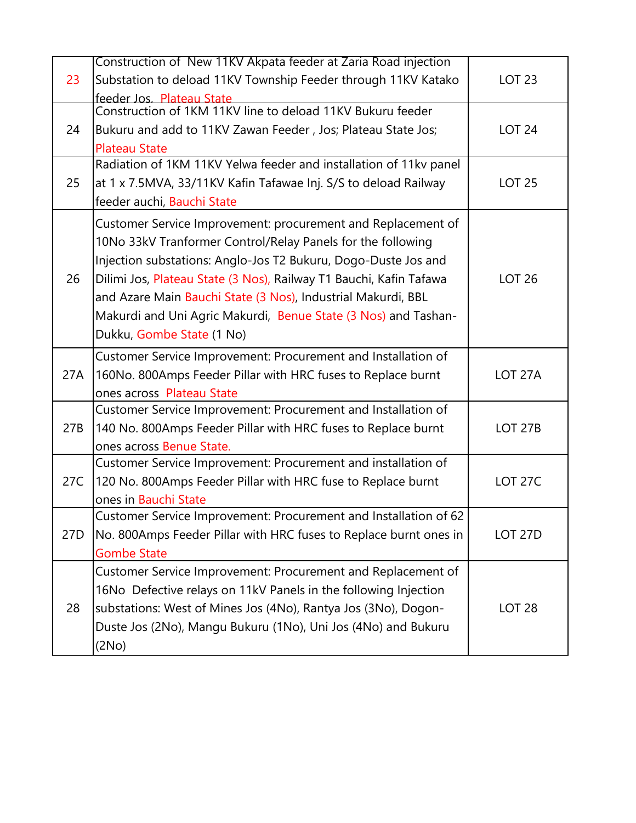|     | Construction of New 11KV Akpata feeder at Zaria Road injection                             |                    |
|-----|--------------------------------------------------------------------------------------------|--------------------|
| 23  | Substation to deload 11KV Township Feeder through 11KV Katako                              | <b>LOT 23</b>      |
|     | feeder Jos. Plateau State                                                                  |                    |
|     | Construction of 1KM 11KV line to deload 11KV Bukuru feeder                                 |                    |
| 24  | Bukuru and add to 11KV Zawan Feeder, Jos; Plateau State Jos;                               | <b>LOT 24</b>      |
|     | <b>Plateau State</b>                                                                       |                    |
|     | Radiation of 1KM 11KV Yelwa feeder and installation of 11kv panel                          |                    |
| 25  | at 1 x 7.5MVA, 33/11KV Kafin Tafawae Inj. S/S to deload Railway                            | <b>LOT 25</b>      |
|     | feeder auchi, Bauchi State                                                                 |                    |
|     | Customer Service Improvement: procurement and Replacement of                               |                    |
|     | 10No 33kV Tranformer Control/Relay Panels for the following                                |                    |
|     | Injection substations: Anglo-Jos T2 Bukuru, Dogo-Duste Jos and                             |                    |
| 26  | Dilimi Jos, Plateau State (3 Nos), Railway T1 Bauchi, Kafin Tafawa                         | <b>LOT 26</b>      |
|     | and Azare Main Bauchi State (3 Nos), Industrial Makurdi, BBL                               |                    |
|     | Makurdi and Uni Agric Makurdi, Benue State (3 Nos) and Tashan-                             |                    |
|     | Dukku, Gombe State (1 No)                                                                  |                    |
|     |                                                                                            |                    |
| 27A | Customer Service Improvement: Procurement and Installation of                              | LOT <sub>27A</sub> |
|     | 160No. 800Amps Feeder Pillar with HRC fuses to Replace burnt                               |                    |
|     | ones across Plateau State<br>Customer Service Improvement: Procurement and Installation of |                    |
| 27B | 140 No. 800Amps Feeder Pillar with HRC fuses to Replace burnt                              | <b>LOT 27B</b>     |
|     | ones across Benue State.                                                                   |                    |
|     | Customer Service Improvement: Procurement and installation of                              |                    |
| 27C | 120 No. 800Amps Feeder Pillar with HRC fuse to Replace burnt                               | <b>LOT 27C</b>     |
|     | ones in Bauchi State                                                                       |                    |
|     | Customer Service Improvement: Procurement and Installation of 62                           |                    |
| 27D | No. 800Amps Feeder Pillar with HRC fuses to Replace burnt ones in                          | LOT <sub>27D</sub> |
|     | <b>Gombe State</b>                                                                         |                    |
|     | Customer Service Improvement: Procurement and Replacement of                               |                    |
|     | 16No Defective relays on 11kV Panels in the following Injection                            |                    |
| 28  | substations: West of Mines Jos (4No), Rantya Jos (3No), Dogon-                             | <b>LOT 28</b>      |
|     |                                                                                            |                    |
|     | Duste Jos (2No), Mangu Bukuru (1No), Uni Jos (4No) and Bukuru                              |                    |
|     | (2No)                                                                                      |                    |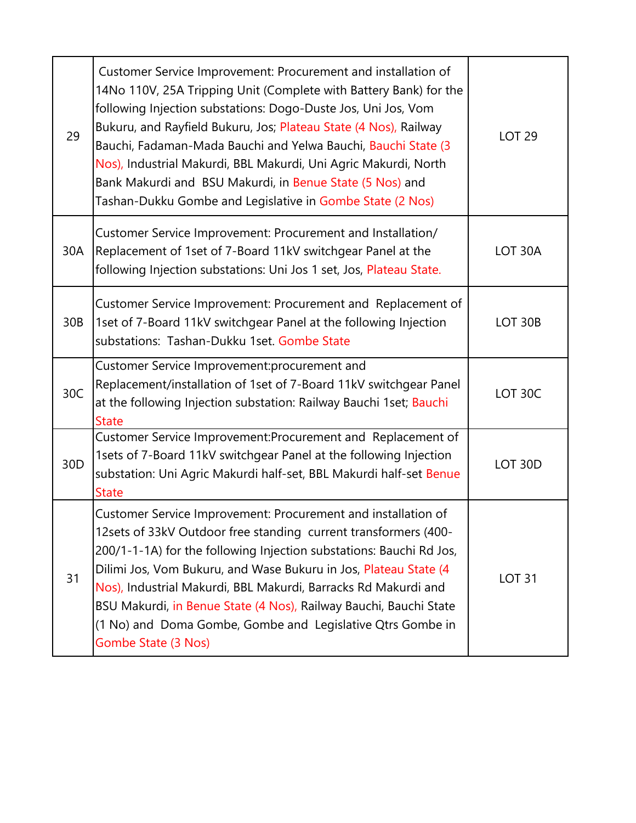| 29              | Customer Service Improvement: Procurement and installation of<br>14No 110V, 25A Tripping Unit (Complete with Battery Bank) for the<br>following Injection substations: Dogo-Duste Jos, Uni Jos, Vom<br>Bukuru, and Rayfield Bukuru, Jos; Plateau State (4 Nos), Railway<br>Bauchi, Fadaman-Mada Bauchi and Yelwa Bauchi, Bauchi State (3<br>Nos), Industrial Makurdi, BBL Makurdi, Uni Agric Makurdi, North<br>Bank Makurdi and BSU Makurdi, in Benue State (5 Nos) and<br>Tashan-Dukku Gombe and Legislative in Gombe State (2 Nos) | <b>LOT 29</b>       |
|-----------------|--------------------------------------------------------------------------------------------------------------------------------------------------------------------------------------------------------------------------------------------------------------------------------------------------------------------------------------------------------------------------------------------------------------------------------------------------------------------------------------------------------------------------------------|---------------------|
| 30A             | Customer Service Improvement: Procurement and Installation/<br>Replacement of 1set of 7-Board 11kV switchgear Panel at the<br>following Injection substations: Uni Jos 1 set, Jos, Plateau State.                                                                                                                                                                                                                                                                                                                                    | LOT 30A             |
| 30B             | Customer Service Improvement: Procurement and Replacement of<br>1set of 7-Board 11kV switchgear Panel at the following Injection<br>substations: Tashan-Dukku 1set. Gombe State                                                                                                                                                                                                                                                                                                                                                      | LOT 30B             |
| 30C             | Customer Service Improvement: procurement and<br>Replacement/installation of 1set of 7-Board 11kV switchgear Panel<br>at the following Injection substation: Railway Bauchi 1set; Bauchi<br><b>State</b>                                                                                                                                                                                                                                                                                                                             | LOT 30C             |
| 30 <sub>D</sub> | Customer Service Improvement: Procurement and Replacement of<br>1sets of 7-Board 11kV switchgear Panel at the following Injection<br>substation: Uni Agric Makurdi half-set, BBL Makurdi half-set Benue<br><b>State</b>                                                                                                                                                                                                                                                                                                              | LOT <sub>30</sub> D |
| 31              | Customer Service Improvement: Procurement and installation of<br>12 sets of 33kV Outdoor free standing current transformers (400-<br>200/1-1-1A) for the following Injection substations: Bauchi Rd Jos,<br>Dilimi Jos, Vom Bukuru, and Wase Bukuru in Jos, Plateau State (4<br>Nos), Industrial Makurdi, BBL Makurdi, Barracks Rd Makurdi and<br>BSU Makurdi, in Benue State (4 Nos), Railway Bauchi, Bauchi State<br>(1 No) and Doma Gombe, Gombe and Legislative Qtrs Gombe in<br>Gombe State (3 Nos)                             | <b>LOT 31</b>       |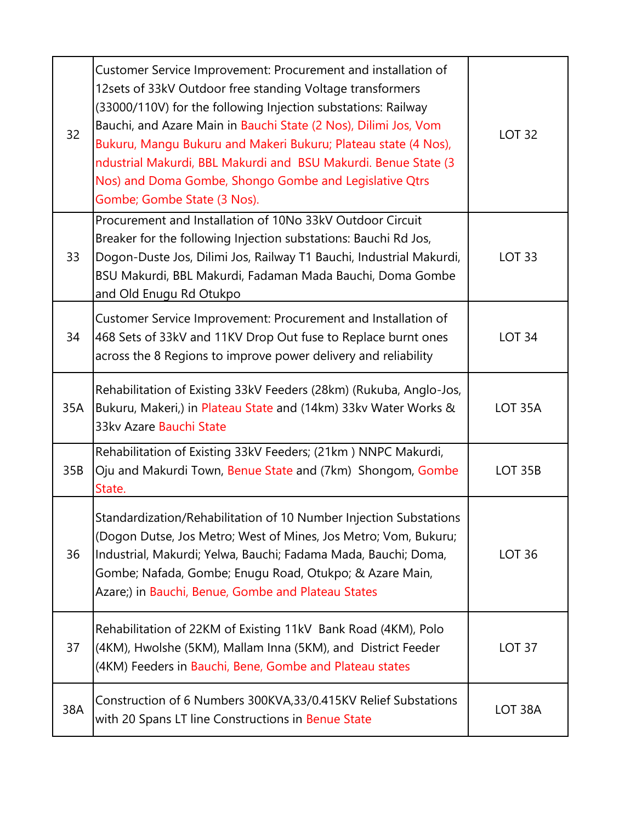| 32  | Customer Service Improvement: Procurement and installation of<br>12sets of 33kV Outdoor free standing Voltage transformers<br>(33000/110V) for the following Injection substations: Railway<br>Bauchi, and Azare Main in Bauchi State (2 Nos), Dilimi Jos, Vom<br>Bukuru, Mangu Bukuru and Makeri Bukuru; Plateau state (4 Nos),<br>ndustrial Makurdi, BBL Makurdi and BSU Makurdi. Benue State (3<br>Nos) and Doma Gombe, Shongo Gombe and Legislative Qtrs<br>Gombe; Gombe State (3 Nos). | <b>LOT 32</b>       |
|-----|---------------------------------------------------------------------------------------------------------------------------------------------------------------------------------------------------------------------------------------------------------------------------------------------------------------------------------------------------------------------------------------------------------------------------------------------------------------------------------------------|---------------------|
| 33  | Procurement and Installation of 10No 33kV Outdoor Circuit<br>Breaker for the following Injection substations: Bauchi Rd Jos,<br>Dogon-Duste Jos, Dilimi Jos, Railway T1 Bauchi, Industrial Makurdi,<br>BSU Makurdi, BBL Makurdi, Fadaman Mada Bauchi, Doma Gombe<br>and Old Enugu Rd Otukpo                                                                                                                                                                                                 | <b>LOT 33</b>       |
| 34  | Customer Service Improvement: Procurement and Installation of<br>468 Sets of 33kV and 11KV Drop Out fuse to Replace burnt ones<br>across the 8 Regions to improve power delivery and reliability                                                                                                                                                                                                                                                                                            | <b>LOT 34</b>       |
| 35A | Rehabilitation of Existing 33kV Feeders (28km) (Rukuba, Anglo-Jos,<br>Bukuru, Makeri,) in Plateau State and (14km) 33kv Water Works &<br>33kv Azare Bauchi State                                                                                                                                                                                                                                                                                                                            | LOT <sub>35</sub> A |
| 35B | Rehabilitation of Existing 33kV Feeders; (21km) NNPC Makurdi,<br>Oju and Makurdi Town, Benue State and (7km) Shongom, Gombe<br>State.                                                                                                                                                                                                                                                                                                                                                       | <b>LOT 35B</b>      |
| 36  | Standardization/Rehabilitation of 10 Number Injection Substations<br>(Dogon Dutse, Jos Metro; West of Mines, Jos Metro; Vom, Bukuru;<br>Industrial, Makurdi; Yelwa, Bauchi; Fadama Mada, Bauchi; Doma,<br>Gombe; Nafada, Gombe; Enugu Road, Otukpo; & Azare Main,<br>Azare;) in Bauchi, Benue, Gombe and Plateau States                                                                                                                                                                     | <b>LOT 36</b>       |
| 37  | Rehabilitation of 22KM of Existing 11kV Bank Road (4KM), Polo<br>(4KM), Hwolshe (5KM), Mallam Inna (5KM), and District Feeder<br>(4KM) Feeders in Bauchi, Bene, Gombe and Plateau states                                                                                                                                                                                                                                                                                                    | LOT <sub>37</sub>   |
| 38A | Construction of 6 Numbers 300KVA, 33/0.415KV Relief Substations<br>with 20 Spans LT line Constructions in Benue State                                                                                                                                                                                                                                                                                                                                                                       | LOT 38A             |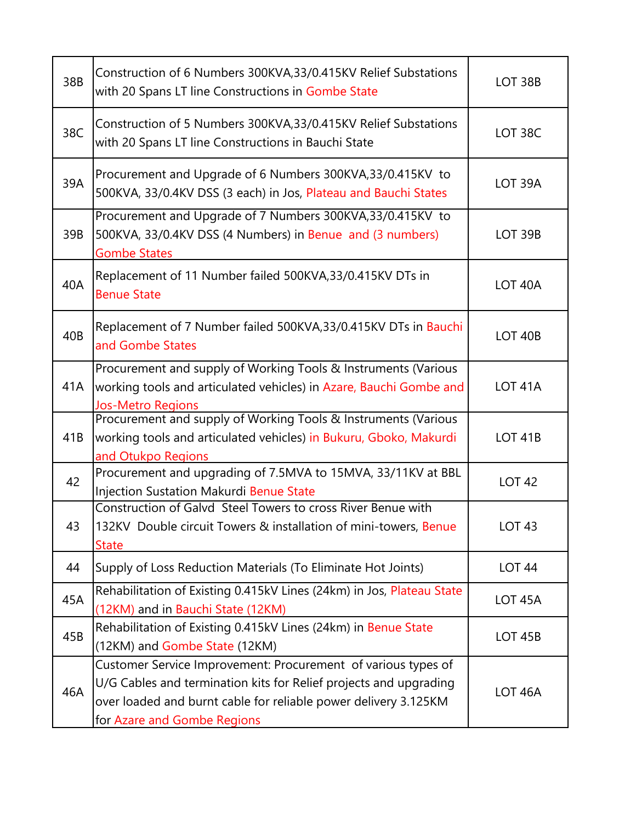| 38B | Construction of 6 Numbers 300KVA, 33/0.415KV Relief Substations<br>with 20 Spans LT line Constructions in Gombe State                                                                                                                | LOT 38B             |
|-----|--------------------------------------------------------------------------------------------------------------------------------------------------------------------------------------------------------------------------------------|---------------------|
| 38C | Construction of 5 Numbers 300KVA, 33/0.415KV Relief Substations<br>with 20 Spans LT line Constructions in Bauchi State                                                                                                               | LOT 38C             |
| 39A | Procurement and Upgrade of 6 Numbers 300KVA, 33/0.415KV to<br>500KVA, 33/0.4KV DSS (3 each) in Jos, Plateau and Bauchi States                                                                                                        | LOT 39A             |
| 39B | Procurement and Upgrade of 7 Numbers 300KVA, 33/0.415KV to<br>500KVA, 33/0.4KV DSS (4 Numbers) in Benue and (3 numbers)<br><b>Gombe States</b>                                                                                       | <b>LOT 39B</b>      |
| 40A | Replacement of 11 Number failed 500KVA, 33/0.415KV DTs in<br><b>Benue State</b>                                                                                                                                                      | LOT 40A             |
| 40B | Replacement of 7 Number failed 500KVA, 33/0.415KV DTs in Bauchi<br>and Gombe States                                                                                                                                                  | <b>LOT 40B</b>      |
| 41A | Procurement and supply of Working Tools & Instruments (Various<br>working tools and articulated vehicles) in Azare, Bauchi Gombe and<br>Jos-Metro Regions                                                                            | LOT <sub>41</sub> A |
| 41B | Procurement and supply of Working Tools & Instruments (Various<br>working tools and articulated vehicles) in Bukuru, Gboko, Makurdi<br>and Otukpo Regions                                                                            | <b>LOT 41B</b>      |
| 42  | Procurement and upgrading of 7.5MVA to 15MVA, 33/11KV at BBL<br>Injection Sustation Makurdi Benue State                                                                                                                              | <b>LOT 42</b>       |
| 43  | Construction of Galvd Steel Towers to cross River Benue with<br>132KV Double circuit Towers & installation of mini-towers, Benue<br><b>State</b>                                                                                     | LOT 43              |
| 44  | Supply of Loss Reduction Materials (To Eliminate Hot Joints)                                                                                                                                                                         | <b>LOT 44</b>       |
| 45A | Rehabilitation of Existing 0.415kV Lines (24km) in Jos, Plateau State<br>(12KM) and in Bauchi State (12KM)                                                                                                                           | LOT <sub>45A</sub>  |
| 45B | Rehabilitation of Existing 0.415kV Lines (24km) in Benue State<br>(12KM) and Gombe State (12KM)                                                                                                                                      | <b>LOT 45B</b>      |
| 46A | Customer Service Improvement: Procurement of various types of<br>U/G Cables and termination kits for Relief projects and upgrading<br>over loaded and burnt cable for reliable power delivery 3.125KM<br>for Azare and Gombe Regions | LOT <sub>46A</sub>  |